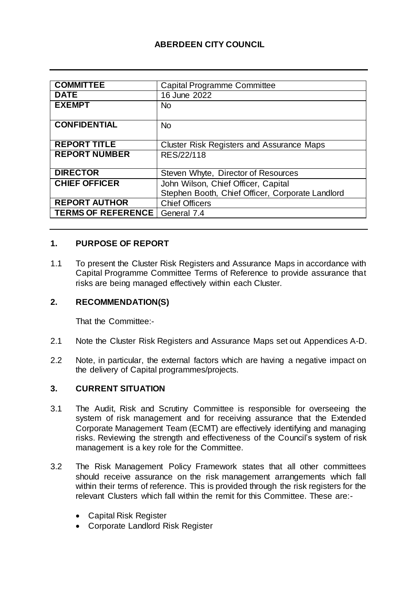# **ABERDEEN CITY COUNCIL**

| <b>COMMITTEE</b>          | <b>Capital Programme Committee</b>               |
|---------------------------|--------------------------------------------------|
| <b>DATE</b>               | 16 June 2022                                     |
| <b>EXEMPT</b>             | N <sub>o</sub>                                   |
|                           |                                                  |
| <b>CONFIDENTIAL</b>       | <b>No</b>                                        |
|                           |                                                  |
| <b>REPORT TITLE</b>       | <b>Cluster Risk Registers and Assurance Maps</b> |
| <b>REPORT NUMBER</b>      | RES/22/118                                       |
|                           |                                                  |
| <b>DIRECTOR</b>           | Steven Whyte, Director of Resources              |
| <b>CHIEF OFFICER</b>      | John Wilson, Chief Officer, Capital              |
|                           | Stephen Booth, Chief Officer, Corporate Landlord |
| <b>REPORT AUTHOR</b>      | <b>Chief Officers</b>                            |
| <b>TERMS OF REFERENCE</b> | General 7.4                                      |

## **1. PURPOSE OF REPORT**

1.1 To present the Cluster Risk Registers and Assurance Maps in accordance with Capital Programme Committee Terms of Reference to provide assurance that risks are being managed effectively within each Cluster.

### **2. RECOMMENDATION(S)**

That the Committee:-

- 2.1 Note the Cluster Risk Registers and Assurance Maps set out Appendices A-D.
- 2.2 Note, in particular, the external factors which are having a negative impact on the delivery of Capital programmes/projects.

### **3. CURRENT SITUATION**

- 3.1 The Audit, Risk and Scrutiny Committee is responsible for overseeing the system of risk management and for receiving assurance that the Extended Corporate Management Team (ECMT) are effectively identifying and managing risks. Reviewing the strength and effectiveness of the Council's system of risk management is a key role for the Committee.
- 3.2 The Risk Management Policy Framework states that all other committees should receive assurance on the risk management arrangements which fall within their terms of reference. This is provided through the risk registers for the relevant Clusters which fall within the remit for this Committee. These are:-
	- Capital Risk Register
	- Corporate Landlord Risk Register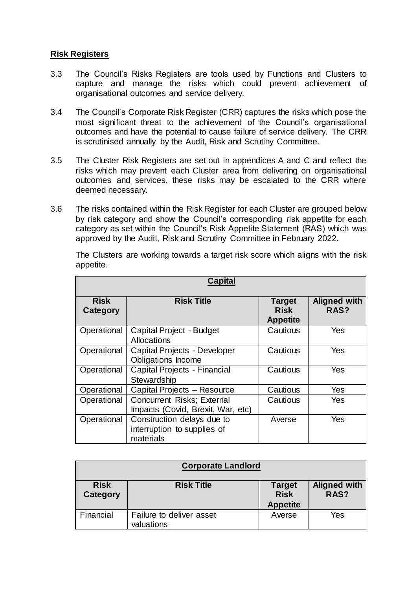## **Risk Registers**

- 3.3 The Council's Risks Registers are tools used by Functions and Clusters to capture and manage the risks which could prevent achievement of organisational outcomes and service delivery.
- 3.4 The Council's Corporate Risk Register (CRR) captures the risks which pose the most significant threat to the achievement of the Council's organisational outcomes and have the potential to cause failure of service delivery. The CRR is scrutinised annually by the Audit, Risk and Scrutiny Committee.
- 3.5 The Cluster Risk Registers are set out in appendices A and C and reflect the risks which may prevent each Cluster area from delivering on organisational outcomes and services, these risks may be escalated to the CRR where deemed necessary.
- 3.6 The risks contained within the Risk Register for each Cluster are grouped below by risk category and show the Council's corresponding risk appetite for each category as set within the Council's Risk Appetite Statement (RAS) which was approved by the Audit, Risk and Scrutiny Committee in February 2022.

The Clusters are working towards a target risk score which aligns with the risk appetite.

| <b>Capital</b>          |                                                                        |                                                 |                             |
|-------------------------|------------------------------------------------------------------------|-------------------------------------------------|-----------------------------|
| <b>Risk</b><br>Category | <b>Risk Title</b>                                                      | <b>Target</b><br><b>Risk</b><br><b>Appetite</b> | <b>Aligned with</b><br>RAS? |
| Operational             | Capital Project - Budget<br>Allocations                                | Cautious                                        | Yes                         |
| Operational             | Capital Projects - Developer<br>Obligations Income                     | Cautious                                        | Yes                         |
| Operational             | Capital Projects - Financial<br>Stewardship                            | Cautious                                        | Yes                         |
| Operational             | Capital Projects - Resource                                            | Cautious                                        | Yes                         |
| Operational             | <b>Concurrent Risks; External</b><br>Impacts (Covid, Brexit, War, etc) | Cautious                                        | Yes                         |
| Operational             | Construction delays due to<br>interruption to supplies of<br>materials | Averse                                          | Yes                         |

| <b>Corporate Landlord</b> |                                        |                                                 |                             |
|---------------------------|----------------------------------------|-------------------------------------------------|-----------------------------|
| <b>Risk</b><br>Category   | <b>Risk Title</b>                      | <b>Target</b><br><b>Risk</b><br><b>Appetite</b> | <b>Aligned with</b><br>RAS? |
| Financial                 | Failure to deliver asset<br>valuations | Averse                                          | Yes                         |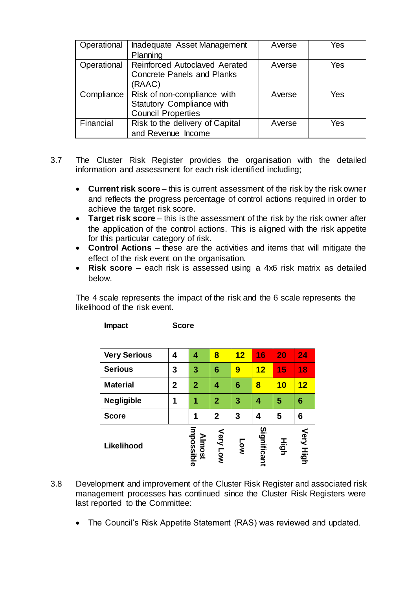| Operational | Inadequate Asset Management<br>Planning                                                      | Averse | Yes |
|-------------|----------------------------------------------------------------------------------------------|--------|-----|
| Operational | <b>Reinforced Autoclaved Aerated</b><br><b>Concrete Panels and Planks</b><br>(RAAC)          | Averse | Yes |
| Compliance  | Risk of non-compliance with<br><b>Statutory Compliance with</b><br><b>Council Properties</b> | Averse | Yes |
| Financial   | Risk to the delivery of Capital<br>and Revenue Income                                        | Averse | Yes |

- 3.7 The Cluster Risk Register provides the organisation with the detailed information and assessment for each risk identified including;
	- **Current risk score** this is current assessment of the risk by the risk owner and reflects the progress percentage of control actions required in order to achieve the target risk score.
	- **Target risk score** this is the assessment of the risk by the risk owner after the application of the control actions. This is aligned with the risk appetite for this particular category of risk.
	- **Control Actions** these are the activities and items that will mitigate the effect of the risk event on the organisation.
	- **Risk score**  each risk is assessed using a 4x6 risk matrix as detailed below.

The 4 scale represents the impact of the risk and the 6 scale represents the likelihood of the risk event.

**Impact Score**

| Likelihood          |              | Impossible<br><b>Almost</b> | Very Low       | <b>Low</b> | Significant | High | Very High |
|---------------------|--------------|-----------------------------|----------------|------------|-------------|------|-----------|
| <b>Score</b>        |              | 1                           | $\overline{2}$ | 3          | 4           | 5    | 6         |
| <b>Negligible</b>   | 1            | 1                           | $\overline{2}$ | 3          | 4           | 5    | 6         |
| <b>Material</b>     | $\mathbf{2}$ | $\overline{2}$              | 4              | 6          | 8           | 10   | 12        |
| <b>Serious</b>      | 3            | 3                           | 6              | 9          | 12          | 15   | 18        |
| <b>Very Serious</b> | 4            | 4                           | 8              | 12         | 16          | 20   | 24        |

- 3.8 Development and improvement of the Cluster Risk Register and associated risk management processes has continued since the Cluster Risk Registers were last reported to the Committee:
	- The Council's Risk Appetite Statement (RAS) was reviewed and updated.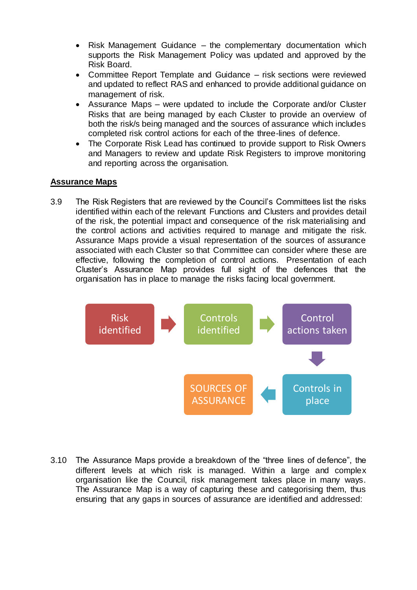- Risk Management Guidance the complementary documentation which supports the Risk Management Policy was updated and approved by the Risk Board.
- Committee Report Template and Guidance risk sections were reviewed and updated to reflect RAS and enhanced to provide additional guidance on management of risk.
- Assurance Maps were updated to include the Corporate and/or Cluster Risks that are being managed by each Cluster to provide an overview of both the risk/s being managed and the sources of assurance which includes completed risk control actions for each of the three-lines of defence.
- The Corporate Risk Lead has continued to provide support to Risk Owners and Managers to review and update Risk Registers to improve monitoring and reporting across the organisation.

## **Assurance Maps**

3.9 The Risk Registers that are reviewed by the Council's Committees list the risks identified within each of the relevant Functions and Clusters and provides detail of the risk, the potential impact and consequence of the risk materialising and the control actions and activities required to manage and mitigate the risk. Assurance Maps provide a visual representation of the sources of assurance associated with each Cluster so that Committee can consider where these are effective, following the completion of control actions. Presentation of each Cluster's Assurance Map provides full sight of the defences that the organisation has in place to manage the risks facing local government.



3.10 The Assurance Maps provide a breakdown of the "three lines of defence", the different levels at which risk is managed. Within a large and complex organisation like the Council, risk management takes place in many ways. The Assurance Map is a way of capturing these and categorising them, thus ensuring that any gaps in sources of assurance are identified and addressed: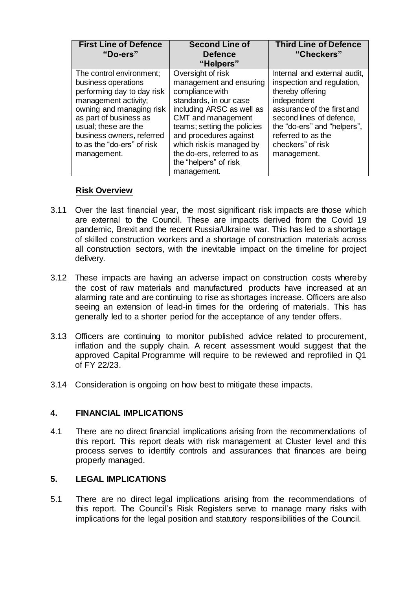| <b>First Line of Defence</b> | <b>Second Line of</b>       | <b>Third Line of Defence</b> |
|------------------------------|-----------------------------|------------------------------|
| "Do-ers"                     | <b>Defence</b>              | "Checkers"                   |
|                              | "Helpers"                   |                              |
| The control environment;     | Oversight of risk           | Internal and external audit, |
| business operations          | management and ensuring     | inspection and regulation,   |
| performing day to day risk   | compliance with             | thereby offering             |
| management activity;         | standards, in our case      | independent                  |
| owning and managing risk     | including ARSC as well as   | assurance of the first and   |
| as part of business as       | CMT and management          | second lines of defence,     |
| usual; these are the         | teams; setting the policies | the "do-ers" and "helpers",  |
| business owners, referred    | and procedures against      | referred to as the           |
| to as the "do-ers" of risk   | which risk is managed by    | checkers" of risk            |
| management.                  | the do-ers, referred to as  | management.                  |
|                              | the "helpers" of risk       |                              |
|                              | management.                 |                              |

## **Risk Overview**

- 3.11 Over the last financial year, the most significant risk impacts are those which are external to the Council. These are impacts derived from the Covid 19 pandemic, Brexit and the recent Russia/Ukraine war. This has led to a shortage of skilled construction workers and a shortage of construction materials across all construction sectors, with the inevitable impact on the timeline for project delivery.
- 3.12 These impacts are having an adverse impact on construction costs whereby the cost of raw materials and manufactured products have increased at an alarming rate and are continuing to rise as shortages increase. Officers are also seeing an extension of lead-in times for the ordering of materials. This has generally led to a shorter period for the acceptance of any tender offers.
- 3.13 Officers are continuing to monitor published advice related to procurement, inflation and the supply chain. A recent assessment would suggest that the approved Capital Programme will require to be reviewed and reprofiled in Q1 of FY 22/23.
- 3.14 Consideration is ongoing on how best to mitigate these impacts.

### **4. FINANCIAL IMPLICATIONS**

4.1 There are no direct financial implications arising from the recommendations of this report. This report deals with risk management at Cluster level and this process serves to identify controls and assurances that finances are being properly managed.

## **5. LEGAL IMPLICATIONS**

5.1 There are no direct legal implications arising from the recommendations of this report. The Council's Risk Registers serve to manage many risks with implications for the legal position and statutory responsibilities of the Council.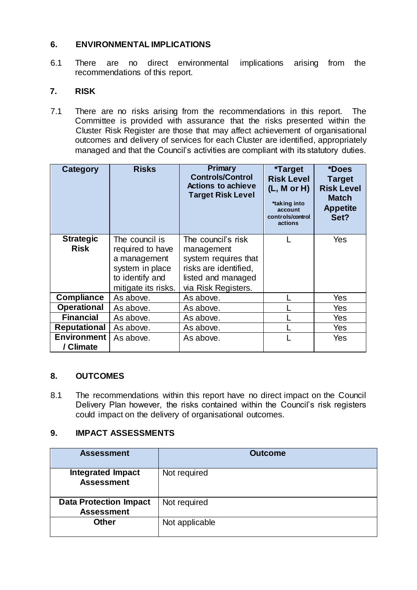## **6. ENVIRONMENTAL IMPLICATIONS**

6.1 There are no direct environmental implications arising from the recommendations of this report.

## **7. RISK**

7.1 There are no risks arising from the recommendations in this report. The Committee is provided with assurance that the risks presented within the Cluster Risk Register are those that may affect achievement of organisational outcomes and delivery of services for each Cluster are identified, appropriately managed and that the Council's activities are compliant with its statutory duties.

| Category                        | <b>Risks</b>                                                                                                    | Primary<br><b>Controls/Control</b><br><b>Actions to achieve</b><br><b>Target Risk Level</b>                                    | <i><b>*Target</b></i><br><b>Risk Level</b><br>(L, M or H)<br>*taking into<br>account<br>controls/control<br>actions | *Does<br><b>Target</b><br><b>Risk Level</b><br><b>Match</b><br><b>Appetite</b><br>Set? |
|---------------------------------|-----------------------------------------------------------------------------------------------------------------|--------------------------------------------------------------------------------------------------------------------------------|---------------------------------------------------------------------------------------------------------------------|----------------------------------------------------------------------------------------|
| <b>Strategic</b><br><b>Risk</b> | The council is<br>required to have<br>a management<br>system in place<br>to identify and<br>mitigate its risks. | The council's risk<br>management<br>system requires that<br>risks are identified,<br>listed and managed<br>via Risk Registers. |                                                                                                                     | Yes                                                                                    |
| <b>Compliance</b>               | As above.                                                                                                       | As above.                                                                                                                      |                                                                                                                     | Yes                                                                                    |
| <b>Operational</b>              | As above.                                                                                                       | As above.                                                                                                                      |                                                                                                                     | Yes                                                                                    |
| <b>Financial</b>                | As above.                                                                                                       | As above.                                                                                                                      |                                                                                                                     | Yes                                                                                    |
| <b>Reputational</b>             | As above.                                                                                                       | As above.                                                                                                                      |                                                                                                                     | <b>Yes</b>                                                                             |
| <b>Environment</b><br>/ Climate | As above.                                                                                                       | As above.                                                                                                                      |                                                                                                                     | Yes                                                                                    |

### **8. OUTCOMES**

8.1 The recommendations within this report have no direct impact on the Council Delivery Plan however, the risks contained within the Council's risk registers could impact on the delivery of organisational outcomes.

# **9. IMPACT ASSESSMENTS**

| <b>Assessment</b>                                  | <b>Outcome</b> |
|----------------------------------------------------|----------------|
| <b>Integrated Impact</b><br><b>Assessment</b>      | Not required   |
| <b>Data Protection Impact</b><br><b>Assessment</b> | Not required   |
| <b>Other</b>                                       | Not applicable |